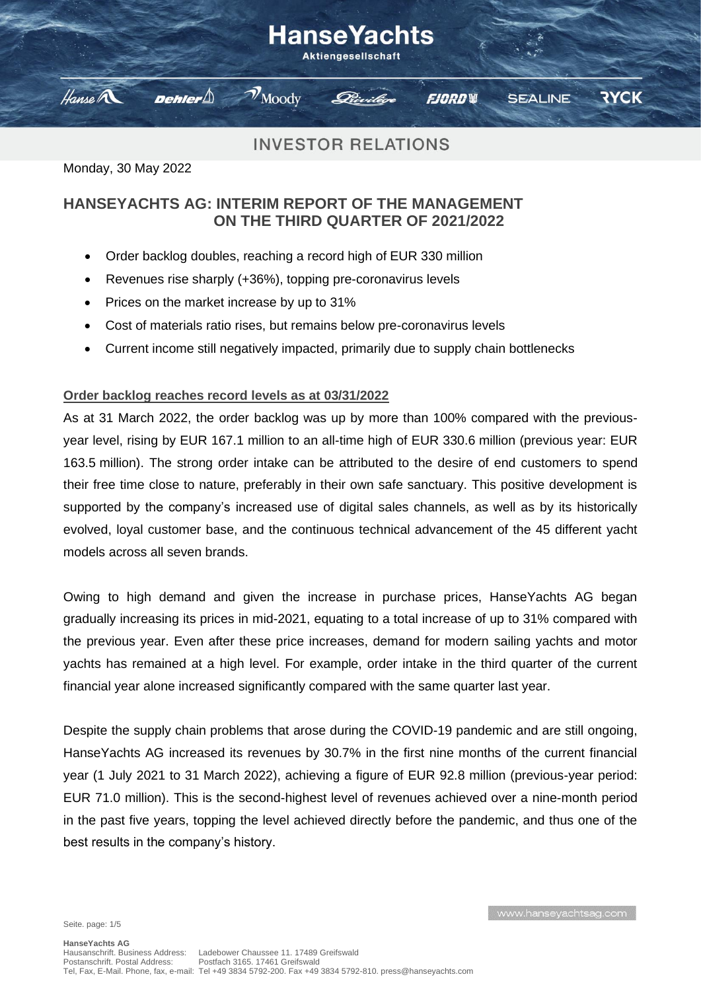#### HanseYachts **Aktiengesellschaft**  $\mathcal{V}_{\text{Mody}}$ Hanse A Dehler $\bigtriangleup$ **RYCK FJORDW SEALINE**

# **INVESTOR RELATIONS**

Monday, 30 May 2022

## **HANSEYACHTS AG: INTERIM REPORT OF THE MANAGEMENT ON THE THIRD QUARTER OF 2021/2022**

- Order backlog doubles, reaching a record high of EUR 330 million
- Revenues rise sharply (+36%), topping pre-coronavirus levels
- Prices on the market increase by up to 31%
- Cost of materials ratio rises, but remains below pre-coronavirus levels
- Current income still negatively impacted, primarily due to supply chain bottlenecks

### **Order backlog reaches record levels as at 03/31/2022**

As at 31 March 2022, the order backlog was up by more than 100% compared with the previousyear level, rising by EUR 167.1 million to an all-time high of EUR 330.6 million (previous year: EUR 163.5 million). The strong order intake can be attributed to the desire of end customers to spend their free time close to nature, preferably in their own safe sanctuary. This positive development is supported by the company's increased use of digital sales channels, as well as by its historically evolved, loyal customer base, and the continuous technical advancement of the 45 different yacht models across all seven brands.

Owing to high demand and given the increase in purchase prices, Hanse Yachts AG began gradually increasing its prices in mid-2021, equating to a total increase of up to 31% compared with the previous year. Even after these price increases, demand for modern sailing yachts and motor yachts has remained at a high level. For example, order intake in the third quarter of the current financial year alone increased significantly compared with the same quarter last year.

Despite the supply chain problems that arose during the COVID-19 pandemic and are still ongoing, HanseYachts AG increased its revenues by 30.7% in the first nine months of the current financial year (1 July 2021 to 31 March 2022), achieving a figure of EUR 92.8 million (previous-year period: EUR 71.0 million). This is the second-highest level of revenues achieved over a nine-month period in the past five years, topping the level achieved directly before the pandemic, and thus one of the best results in the company's history.

Seite. page: 1/5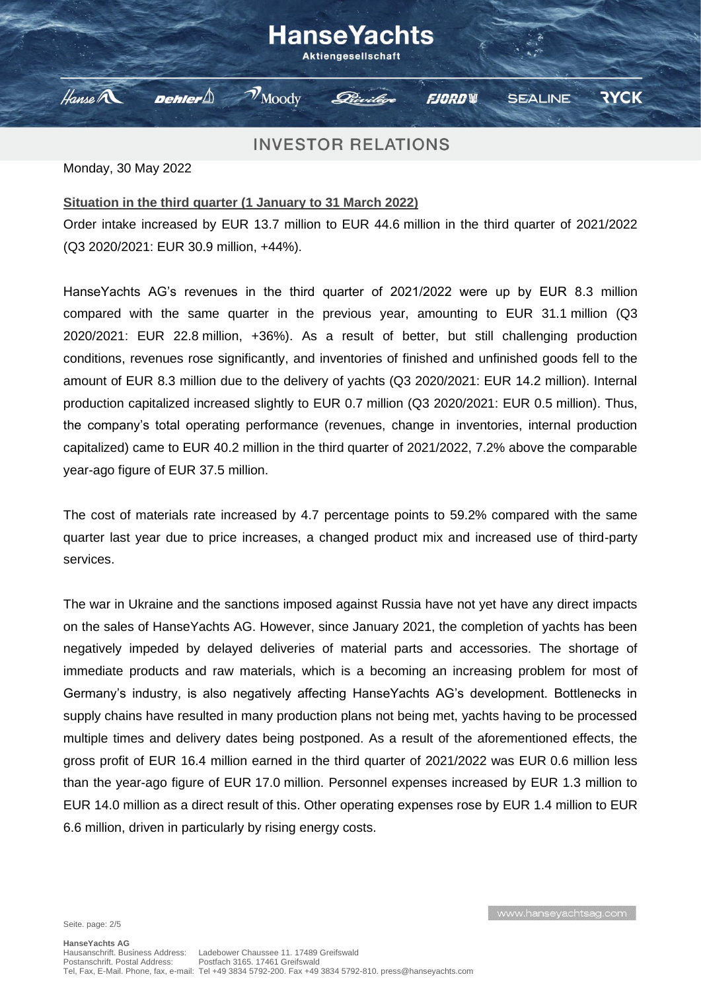#### **HanseYachts Aktiengesellschaft**  $\mathcal{V}_{\text{Mody}}$ Hanse A Dehler $\bigtriangleup$ **RYCK FJORDW SEALINE**

## **INVESTOR RELATIONS**

Monday, 30 May 2022

#### **Situation in the third quarter (1 January to 31 March 2022)**

Order intake increased by EUR 13.7 million to EUR 44.6 million in the third quarter of 2021/2022 (Q3 2020/2021: EUR 30.9 million, +44%).

HanseYachts AG's revenues in the third quarter of 2021/2022 were up by EUR 8.3 million compared with the same quarter in the previous year, amounting to EUR 31.1 million (Q3 2020/2021: EUR 22.8 million, +36%). As a result of better, but still challenging production conditions, revenues rose significantly, and inventories of finished and unfinished goods fell to the amount of EUR 8.3 million due to the delivery of yachts (Q3 2020/2021: EUR 14.2 million). Internal production capitalized increased slightly to EUR 0.7 million (Q3 2020/2021: EUR 0.5 million). Thus, the company's total operating performance (revenues, change in inventories, internal production capitalized) came to EUR 40.2 million in the third quarter of 2021/2022, 7.2% above the comparable year-ago figure of EUR 37.5 million.

The cost of materials rate increased by 4.7 percentage points to 59.2% compared with the same quarter last year due to price increases, a changed product mix and increased use of third-party services.

The war in Ukraine and the sanctions imposed against Russia have not yet have any direct impacts on the sales of HanseYachts AG. However, since January 2021, the completion of yachts has been negatively impeded by delayed deliveries of material parts and accessories. The shortage of immediate products and raw materials, which is a becoming an increasing problem for most of Germany's industry, is also negatively affecting HanseYachts AG's development. Bottlenecks in supply chains have resulted in many production plans not being met, yachts having to be processed multiple times and delivery dates being postponed. As a result of the aforementioned effects, the gross profit of EUR 16.4 million earned in the third quarter of 2021/2022 was EUR 0.6 million less than the year-ago figure of EUR 17.0 million. Personnel expenses increased by EUR 1.3 million to EUR 14.0 million as a direct result of this. Other operating expenses rose by EUR 1.4 million to EUR 6.6 million, driven in particularly by rising energy costs.

Seite. page: 2/5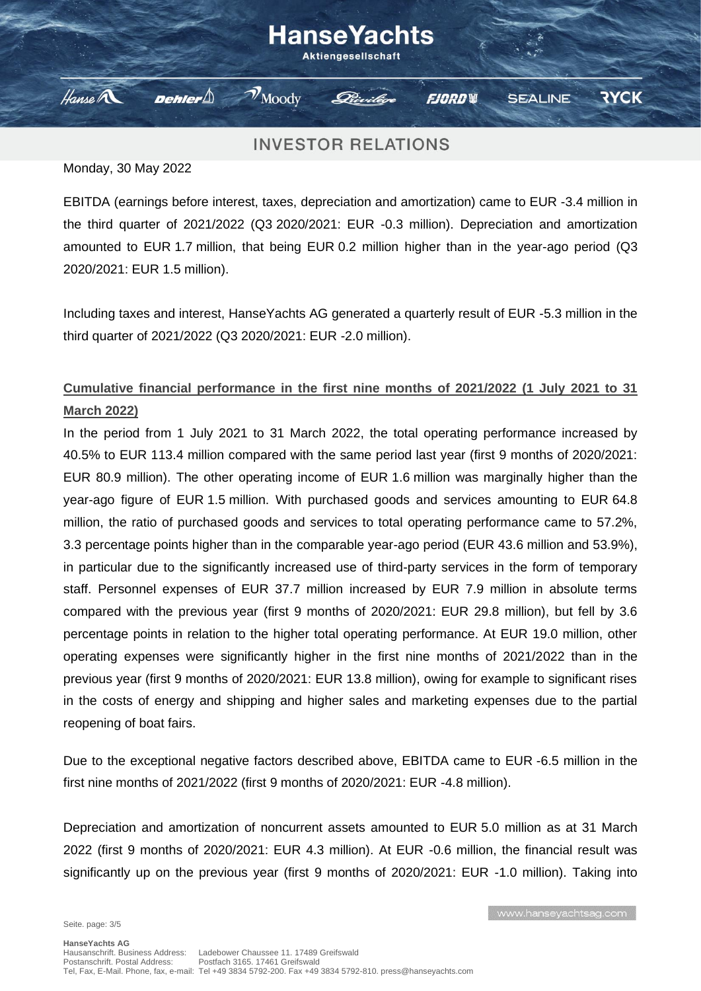#### HanseYachts **Aktiengesellschaft**  $\mathcal{V}_{\text{Mody}}$ Hanse A Dehler $\bigtriangleup$ **RYCK FJORDW SEALINE**

## **INVESTOR RELATIONS**

Monday, 30 May 2022

EBITDA (earnings before interest, taxes, depreciation and amortization) came to EUR -3.4 million in the third quarter of 2021/2022 (Q3 2020/2021: EUR -0.3 million). Depreciation and amortization amounted to EUR 1.7 million, that being EUR 0.2 million higher than in the year-ago period (Q3 2020/2021: EUR 1.5 million).

Including taxes and interest, HanseYachts AG generated a quarterly result of EUR -5.3 million in the third quarter of 2021/2022 (Q3 2020/2021: EUR -2.0 million).

## **Cumulative financial performance in the first nine months of 2021/2022 (1 July 2021 to 31 March 2022)**

In the period from 1 July 2021 to 31 March 2022, the total operating performance increased by 40.5% to EUR 113.4 million compared with the same period last year (first 9 months of 2020/2021: EUR 80.9 million). The other operating income of EUR 1.6 million was marginally higher than the year-ago figure of EUR 1.5 million. With purchased goods and services amounting to EUR 64.8 million, the ratio of purchased goods and services to total operating performance came to 57.2%, 3.3 percentage points higher than in the comparable year-ago period (EUR 43.6 million and 53.9%), in particular due to the significantly increased use of third-party services in the form of temporary staff. Personnel expenses of EUR 37.7 million increased by EUR 7.9 million in absolute terms compared with the previous year (first 9 months of 2020/2021: EUR 29.8 million), but fell by 3.6 percentage points in relation to the higher total operating performance. At EUR 19.0 million, other operating expenses were significantly higher in the first nine months of 2021/2022 than in the previous year (first 9 months of 2020/2021: EUR 13.8 million), owing for example to significant rises in the costs of energy and shipping and higher sales and marketing expenses due to the partial reopening of boat fairs.

Due to the exceptional negative factors described above, EBITDA came to EUR -6.5 million in the first nine months of 2021/2022 (first 9 months of 2020/2021: EUR -4.8 million).

Depreciation and amortization of noncurrent assets amounted to EUR 5.0 million as at 31 March 2022 (first 9 months of 2020/2021: EUR 4.3 million). At EUR -0.6 million, the financial result was significantly up on the previous year (first 9 months of 2020/2021: EUR -1.0 million). Taking into

www.hanseyachtsag.com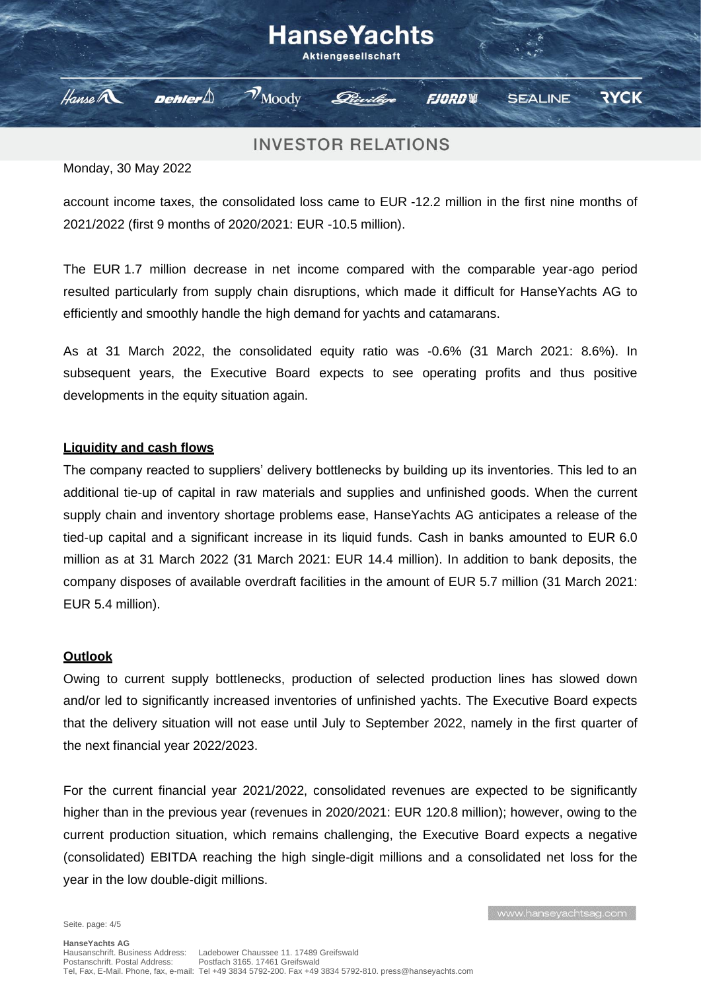# HanseYachts Aktiengesellschaft

**FJORDW** 

**INVESTOR RELATIONS** 

 $\mathcal{V}_{\text{Moody}}$ 

Monday, 30 May 2022

Dehler $\mathbin{\triangle}$ 

Hanse A

account income taxes, the consolidated loss came to EUR -12.2 million in the first nine months of 2021/2022 (first 9 months of 2020/2021: EUR -10.5 million).

The EUR 1.7 million decrease in net income compared with the comparable year-ago period resulted particularly from supply chain disruptions, which made it difficult for HanseYachts AG to efficiently and smoothly handle the high demand for yachts and catamarans.

As at 31 March 2022, the consolidated equity ratio was -0.6% (31 March 2021: 8.6%). In subsequent years, the Executive Board expects to see operating profits and thus positive developments in the equity situation again.

#### **Liquidity and cash flows**

The company reacted to suppliers' delivery bottlenecks by building up its inventories. This led to an additional tie-up of capital in raw materials and supplies and unfinished goods. When the current supply chain and inventory shortage problems ease, HanseYachts AG anticipates a release of the tied-up capital and a significant increase in its liquid funds. Cash in banks amounted to EUR 6.0 million as at 31 March 2022 (31 March 2021: EUR 14.4 million). In addition to bank deposits, the company disposes of available overdraft facilities in the amount of EUR 5.7 million (31 March 2021: EUR 5.4 million).

#### **Outlook**

Owing to current supply bottlenecks, production of selected production lines has slowed down and/or led to significantly increased inventories of unfinished yachts. The Executive Board expects that the delivery situation will not ease until July to September 2022, namely in the first quarter of the next financial year 2022/2023.

For the current financial year 2021/2022, consolidated revenues are expected to be significantly higher than in the previous year (revenues in 2020/2021: EUR 120.8 million); however, owing to the current production situation, which remains challenging, the Executive Board expects a negative (consolidated) EBITDA reaching the high single-digit millions and a consolidated net loss for the year in the low double-digit millions.

www.hanseyachtsag.com

**RYCK** 

**SEALINE**